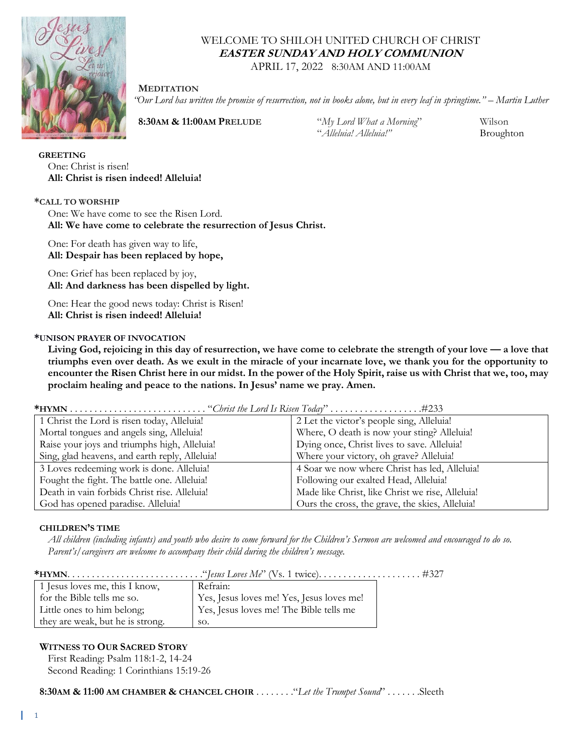

# WELCOME TO SHILOH UNITED CHURCH OF CHRIST **EASTER SUNDAY AND HOLY COMMUNION**

APRIL 17, 2022 8:30AM AND 11:00AM

## **MEDITATION**

*"Our Lord has written the promise of resurrection, not in books alone, but in every leaf in springtime." – Martin Luther*

 **8:30AM & 11:00AM PRELUDE** "*My Lord What a Morning*" Wilson

"*Alleluia! Alleluia!"* Broughton

 **GREETING** One: Christ is risen! **All: Christ is risen indeed! Alleluia!**

## **\*CALL TO WORSHIP**

One: We have come to see the Risen Lord. **All: We have come to celebrate the resurrection of Jesus Christ.** 

One: For death has given way to life, **All: Despair has been replaced by hope,** 

One: Grief has been replaced by joy, **All: And darkness has been dispelled by light.** 

One: Hear the good news today: Christ is Risen! **All: Christ is risen indeed! Alleluia!**

## **\*UNISON PRAYER OF INVOCATION**

**Living God, rejoicing in this day of resurrection, we have come to celebrate the strength of your love — a love that triumphs even over death. As we exult in the miracle of your incarnate love, we thank you for the opportunity to encounter the Risen Christ here in our midst. In the power of the Holy Spirit, raise us with Christ that we, too, may proclaim healing and peace to the nations. In Jesus' name we pray. Amen.**

**\*HYMN** . . . . . . . . . . . . . . . . . . . . . . . . . . . . "*Christ the Lord Is Risen Today*" . . . . . . . . . . . . . . . . . . .#233

| 1 Christ the Lord is risen today, Alleluia!    | 2 Let the victor's people sing, Alleluia!        |
|------------------------------------------------|--------------------------------------------------|
| Mortal tongues and angels sing, Alleluia!      | Where, O death is now your sting? Alleluia!      |
| Raise your joys and triumphs high, Alleluia!   | Dying once, Christ lives to save. Alleluia!      |
| Sing, glad heavens, and earth reply, Alleluia! | Where your victory, oh grave? Alleluia!          |
| 3 Loves redeeming work is done. Alleluia!      | 4 Soar we now where Christ has led, Alleluia!    |
| Fought the fight. The battle one. Alleluia!    | Following our exalted Head, Alleluia!            |
| Death in vain forbids Christ rise. Alleluia!   | Made like Christ, like Christ we rise, Alleluia! |
| God has opened paradise. Alleluia!             | Ours the cross, the grave, the skies, Alleluial  |

#### **CHILDREN'S TIME**

*All children (including infants) and youth who desire to come forward for the Children's Sermon are welcomed and encouraged to do so. Parent's/caregivers are welcome to accompany their child during the children's message.*

|--|--|--|

| 1 Jesus loves me, this I know,   | Refrain:                                  |
|----------------------------------|-------------------------------------------|
| for the Bible tells me so.       | Yes, Jesus loves me! Yes, Jesus loves me! |
| Little ones to him belong;       | Yes, Jesus loves me! The Bible tells me   |
| they are weak, but he is strong. | SO.                                       |

## **WITNESS TO OUR SACRED STORY**

First Reading: Psalm 118:1-2, 14-24 Second Reading: 1 Corinthians 15:19-26

 **8:30AM & 11:00 AM CHAMBER & CHANCEL CHOIR** . . . . . . . ."*Let the Trumpet Sound*" . . . . . . .Sleeth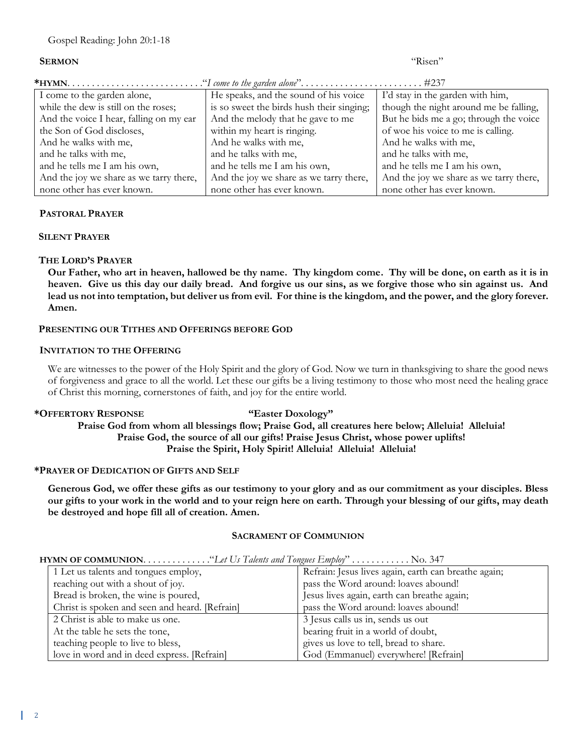| <b>SERMON</b>                           |                                           | "Risen"                                 |  |  |
|-----------------------------------------|-------------------------------------------|-----------------------------------------|--|--|
|                                         |                                           |                                         |  |  |
| I come to the garden alone,             | He speaks, and the sound of his voice     | I'd stay in the garden with him,        |  |  |
| while the dew is still on the roses;    | is so sweet the birds hush their singing; | though the night around me be falling,  |  |  |
| And the voice I hear, falling on my ear | And the melody that he gave to me         | But he bids me a go; through the voice  |  |  |
| the Son of God discloses,               | within my heart is ringing.               | of woe his voice to me is calling.      |  |  |
| And he walks with me,                   | And he walks with me,                     | And he walks with me,                   |  |  |
| and he talks with me,                   | and he talks with me,                     | and he talks with me,                   |  |  |
| and he tells me I am his own,           | and he tells me I am his own,             | and he tells me I am his own,           |  |  |
| And the joy we share as we tarry there, | And the joy we share as we tarry there,   | And the joy we share as we tarry there, |  |  |
| none other has ever known.              | none other has ever known.                | none other has ever known.              |  |  |

## **PASTORAL PRAYER**

#### **SILENT PRAYER**

## **THE LORD'S PRAYER**

**Our Father, who art in heaven, hallowed be thy name. Thy kingdom come. Thy will be done, on earth as it is in heaven. Give us this day our daily bread. And forgive us our sins, as we forgive those who sin against us. And lead us not into temptation, but deliver us from evil. For thine is the kingdom, and the power, and the glory forever. Amen.**

## **PRESENTING OUR TITHES AND OFFERINGS BEFORE GOD**

## **INVITATION TO THE OFFERING**

We are witnesses to the power of the Holy Spirit and the glory of God. Now we turn in thanksgiving to share the good news of forgiveness and grace to all the world. Let these our gifts be a living testimony to those who most need the healing grace of Christ this morning, cornerstones of faith, and joy for the entire world.

#### **\*OFFERTORY RESPONSE "Easter Doxology"**

**Praise God from whom all blessings flow; Praise God, all creatures here below; Alleluia! Alleluia! Praise God, the source of all our gifts! Praise Jesus Christ, whose power uplifts! Praise the Spirit, Holy Spirit! Alleluia! Alleluia! Alleluia!**

#### **\*PRAYER OF DEDICATION OF GIFTS AND SELF**

**Generous God, we offer these gifts as our testimony to your glory and as our commitment as your disciples. Bless our gifts to your work in the world and to your reign here on earth. Through your blessing of our gifts, may death be destroyed and hope fill all of creation. Amen.**

#### **SACRAMENT OF COMMUNION**

| COMMISSION CONTROL WILLIAM COMMISSION CONTROLLER CHANGE AND CONTROLLER COMMISSION |                                                |                                                      |
|-----------------------------------------------------------------------------------|------------------------------------------------|------------------------------------------------------|
|                                                                                   | 1 Let us talents and tongues employ,           | Refrain: Jesus lives again, earth can breathe again; |
|                                                                                   | reaching out with a shout of joy.              | pass the Word around: loaves abound!                 |
|                                                                                   | Bread is broken, the wine is poured,           | Jesus lives again, earth can breathe again;          |
|                                                                                   | Christ is spoken and seen and heard. [Refrain] | pass the Word around: loaves abound!                 |
|                                                                                   | 2 Christ is able to make us one.               | 3 Jesus calls us in, sends us out                    |
|                                                                                   | At the table he sets the tone,                 | bearing fruit in a world of doubt,                   |
|                                                                                   | teaching people to live to bless,              | gives us love to tell, bread to share.               |
|                                                                                   | love in word and in deed express. [Refrain]    | God (Emmanuel) everywhere! [Refrain]                 |

#### **HYMN OF COMMUNION**. . . . . . . . . . . . . ."*Let Us Talents and Tongues Employ*" . . . . . . . . . . . . No. 347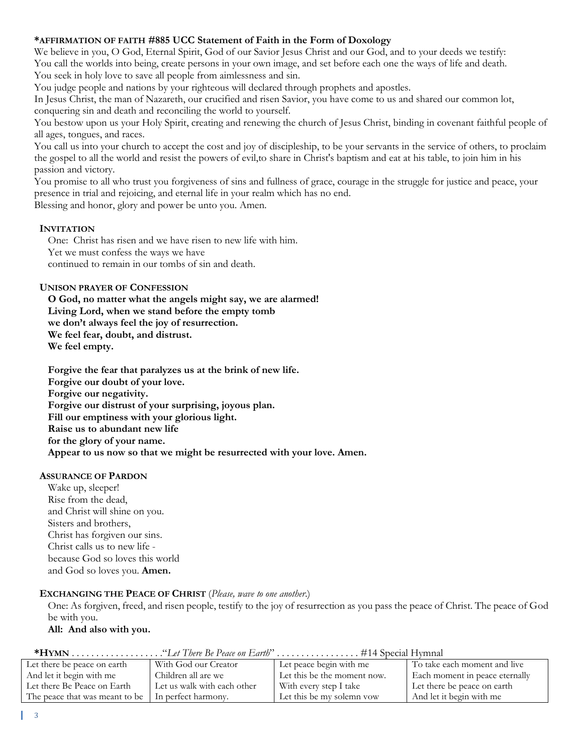## **\*AFFIRMATION OF FAITH #885 UCC Statement of Faith in the Form of Doxology**

We believe in you, O God, Eternal Spirit, God of our Savior Jesus Christ and our God, and to your deeds we testify: You call the worlds into being, create persons in your own image, and set before each one the ways of life and death. You seek in holy love to save all people from aimlessness and sin.

You judge people and nations by your righteous will declared through prophets and apostles.

In Jesus Christ, the man of Nazareth, our crucified and risen Savior, you have come to us and shared our common lot, conquering sin and death and reconciling the world to yourself.

You bestow upon us your Holy Spirit, creating and renewing the church of Jesus Christ, binding in covenant faithful people of all ages, tongues, and races.

You call us into your church to accept the cost and joy of discipleship, to be your servants in the service of others, to proclaim the gospel to all the world and resist the powers of evil,to share in Christ's baptism and eat at his table, to join him in his passion and victory.

You promise to all who trust you forgiveness of sins and fullness of grace, courage in the struggle for justice and peace, your presence in trial and rejoicing, and eternal life in your realm which has no end.

Blessing and honor, glory and power be unto you. Amen.

## **INVITATION**

One: Christ has risen and we have risen to new life with him.

Yet we must confess the ways we have

continued to remain in our tombs of sin and death.

## **UNISON PRAYER OF CONFESSION**

**O God, no matter what the angels might say, we are alarmed! Living Lord, when we stand before the empty tomb we don't always feel the joy of resurrection. We feel fear, doubt, and distrust. We feel empty.**

**Forgive the fear that paralyzes us at the brink of new life. Forgive our doubt of your love. Forgive our negativity. Forgive our distrust of your surprising, joyous plan. Fill our emptiness with your glorious light. Raise us to abundant new life for the glory of your name. Appear to us now so that we might be resurrected with your love. Amen.**

## **ASSURANCE OF PARDON**

Wake up, sleeper! Rise from the dead, and Christ will shine on you. Sisters and brothers, Christ has forgiven our sins. Christ calls us to new life because God so loves this world and God so loves you. **Amen.**

## **EXCHANGING THE PEACE OF CHRIST** (*Please, wave to one another*.)

One: As forgiven, freed, and risen people, testify to the joy of resurrection as you pass the peace of Christ. The peace of God be with you.

**All: And also with you.**

| Let there be peace on earth                          | With God our Creator        | Let peace begin with me     | To take each moment and live   |
|------------------------------------------------------|-----------------------------|-----------------------------|--------------------------------|
| And let it begin with me                             | Children all are we         | Let this be the moment now. | Each moment in peace eternally |
| Let there Be Peace on Earth                          | Let us walk with each other | With every step I take      | Let there be peace on earth    |
| The peace that was meant to be   In perfect harmony. |                             | Let this be my solemn yow   | And let it begin with me       |

**\*HYMN** . . . . . . . . . . . . . . . . . . ."*Let There Be Peace on Earth*" . . . . . . . . . . . . . . . . . #14 Special Hymnal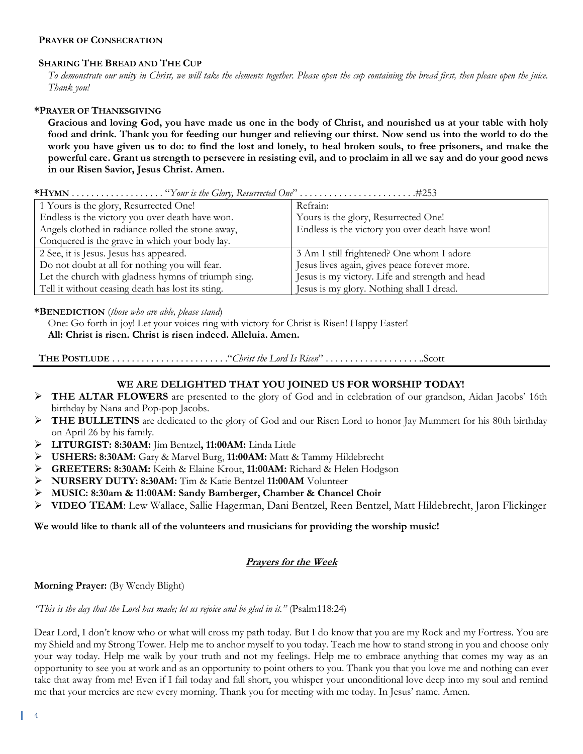## **PRAYER OF CONSECRATION**

## **SHARING THE BREAD AND THE CUP**

*To demonstrate our unity in Christ, we will take the elements together. Please open the cup containing the bread first, then please open the juice. Thank you!*

## **\*PRAYER OF THANKSGIVING**

**Gracious and loving God, you have made us one in the body of Christ, and nourished us at your table with holy food and drink. Thank you for feeding our hunger and relieving our thirst. Now send us into the world to do the work you have given us to do: to find the lost and lonely, to heal broken souls, to free prisoners, and make the powerful care. Grant us strength to persevere in resisting evil, and to proclaim in all we say and do your good news in our Risen Savior, Jesus Christ. Amen.**

|--|--|--|--|--|

| 1 Yours is the glory, Resurrected One!              | Refrain:                                        |
|-----------------------------------------------------|-------------------------------------------------|
| Endless is the victory you over death have won.     | Yours is the glory, Resurrected One!            |
| Angels clothed in radiance rolled the stone away,   | Endless is the victory you over death have won! |
| Conquered is the grave in which your body lay.      |                                                 |
| 2 See, it is Jesus. Jesus has appeared.             | 3 Am I still frightened? One whom I adore       |
| Do not doubt at all for nothing you will fear.      | Jesus lives again, gives peace forever more.    |
| Let the church with gladness hymns of triumph sing. | Jesus is my victory. Life and strength and head |
| Tell it without ceasing death has lost its sting.   | Jesus is my glory. Nothing shall I dread.       |

## **\*BENEDICTION** (*those who are able, please stand*)

One: Go forth in joy! Let your voices ring with victory for Christ is Risen! Happy Easter!

**All: Christ is risen. Christ is risen indeed. Alleluia. Amen.**

```
 THE POSTLUDE . . . . . . . . . . . . . . . . . . . . . . . ."Christ the Lord Is Risen" . . . . . . . . . . . . . . . . . . . ..Scott
```
# **WE ARE DELIGHTED THAT YOU JOINED US FOR WORSHIP TODAY!**

- ➢ **THE ALTAR FLOWERS** are presented to the glory of God and in celebration of our grandson, Aidan Jacobs' 16th birthday by Nana and Pop-pop Jacobs.
- ➢ **THE BULLETINS** are dedicated to the glory of God and our Risen Lord to honor Jay Mummert for his 80th birthday on April 26 by his family.
- ➢ **LITURGIST: 8:30AM:** Jim Bentzel**, 11:00AM:** Linda Little
- ➢ **USHERS: 8:30AM:** Gary & Marvel Burg, **11:00AM:** Matt & Tammy Hildebrecht
- ➢ **GREETERS: 8:30AM:** Keith & Elaine Krout, **11:00AM:** Richard & Helen Hodgson
- ➢ **NURSERY DUTY: 8:30AM:** Tim & Katie Bentzel **11:00AM** Volunteer
- ➢ **MUSIC: 8:30am & 11:00AM: Sandy Bamberger, Chamber & Chancel Choir**
- ➢ **VIDEO TEAM**: Lew Wallace, Sallie Hagerman, Dani Bentzel, Reen Bentzel, Matt Hildebrecht, Jaron Flickinger

## **We would like to thank all of the volunteers and musicians for providing the worship music!**

## **Prayers for the Week**

**Morning Prayer:** (By Wendy Blight)

*"This is the day that the Lord has made; let us rejoice and be glad in it."* (Psalm118:24)

Dear Lord, I don't know who or what will cross my path today. But I do know that you are my Rock and my Fortress. You are my Shield and my Strong Tower. Help me to anchor myself to you today. Teach me how to stand strong in you and choose only your way today. Help me walk by your truth and not my feelings. Help me to embrace anything that comes my way as an opportunity to see you at work and as an opportunity to point others to you. Thank you that you love me and nothing can ever take that away from me! Even if I fail today and fall short, you whisper your unconditional love deep into my soul and remind me that your mercies are new every morning. Thank you for meeting with me today. In Jesus' name. Amen.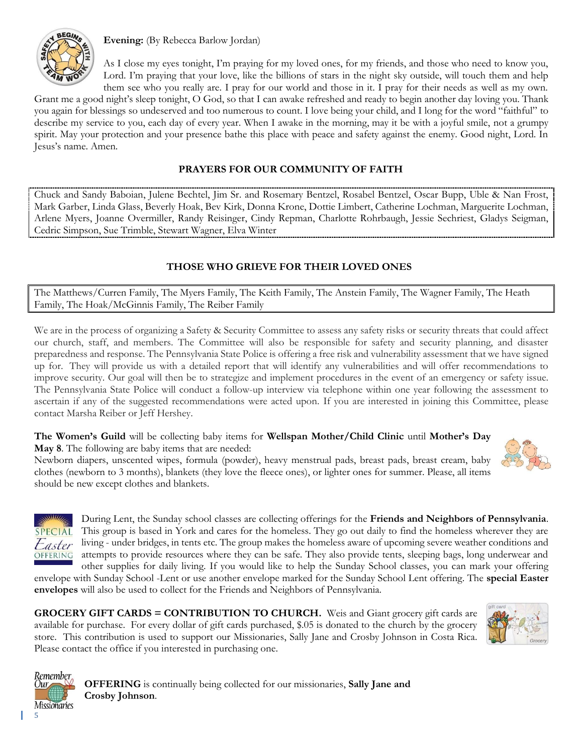

**Evening:** (By Rebecca Barlow Jordan)

As I close my eyes tonight, I'm praying for my loved ones, for my friends, and those who need to know you, Lord. I'm praying that your love, like the billions of stars in the night sky outside, will touch them and help them see who you really are. I pray for our world and those in it. I pray for their needs as well as my own.

Grant me a good night's sleep tonight, O God, so that I can awake refreshed and ready to begin another day loving you. Thank you again for blessings so undeserved and too numerous to count. I love being your child, and I long for the word "faithful" to describe my service to you, each day of every year. When I awake in the morning, may it be with a joyful smile, not a grumpy spirit. May your protection and your presence bathe this place with peace and safety against the enemy. Good night, Lord. In Jesus's name. Amen.

# **PRAYERS FOR OUR COMMUNITY OF FAITH**

Chuck and Sandy Baboian, Julene Bechtel, Jim Sr. and Rosemary Bentzel, Rosabel Bentzel, Oscar Bupp, Uble & Nan Frost, Mark Garber, Linda Glass, Beverly Hoak, Bev Kirk, Donna Krone, Dottie Limbert, Catherine Lochman, Marguerite Lochman, Arlene Myers, Joanne Overmiller, Randy Reisinger, Cindy Repman, Charlotte Rohrbaugh, Jessie Sechriest, Gladys Seigman, Cedric Simpson, Sue Trimble, Stewart Wagner, Elva Winter

# **THOSE WHO GRIEVE FOR THEIR LOVED ONES**

The Matthews/Curren Family, The Myers Family, The Keith Family, The Anstein Family, The Wagner Family, The Heath Family, The Hoak/McGinnis Family, The Reiber Family

We are in the process of organizing a Safety & Security Committee to assess any safety risks or security threats that could affect our church, staff, and members. The Committee will also be responsible for safety and security planning, and disaster preparedness and response. The Pennsylvania State Police is offering a free risk and vulnerability assessment that we have signed up for. They will provide us with a detailed report that will identify any vulnerabilities and will offer recommendations to improve security. Our goal will then be to strategize and implement procedures in the event of an emergency or safety issue. The Pennsylvania State Police will conduct a follow-up interview via telephone within one year following the assessment to ascertain if any of the suggested recommendations were acted upon. If you are interested in joining this Committee, please contact Marsha Reiber or Jeff Hershey.

**The Women's Guild** will be collecting baby items for **Wellspan Mother/Child Clinic** until **Mother's Day May 8**. The following are baby items that are needed:

Newborn diapers, unscented wipes, formula (powder), heavy menstrual pads, breast pads, breast cream, baby clothes (newborn to 3 months), blankets (they love the fleece ones), or lighter ones for summer. Please, all items should be new except clothes and blankets.





During Lent, the Sunday school classes are collecting offerings for the **Friends and Neighbors of Pennsylvania**. This group is based in York and cares for the homeless. They go out daily to find the homeless wherever they are living - under bridges, in tents etc. The group makes the homeless aware of upcoming severe weather conditions and attempts to provide resources where they can be safe. They also provide tents, sleeping bags, long underwear and other supplies for daily living. If you would like to help the Sunday School classes, you can mark your offering

envelope with Sunday School -Lent or use another envelope marked for the Sunday School Lent offering. The **special Easter envelopes** will also be used to collect for the Friends and Neighbors of Pennsylvania.

**GROCERY GIFT CARDS = CONTRIBUTION TO CHURCH.** Weis and Giant grocery gift cards are available for purchase. For every dollar of gift cards purchased, \$.05 is donated to the church by the grocery store. This contribution is used to support our Missionaries, Sally Jane and Crosby Johnson in Costa Rica. Please contact the office if you interested in purchasing one.





**OFFERING** is continually being collected for our missionaries, **Sally Jane and Crosby Johnson**.